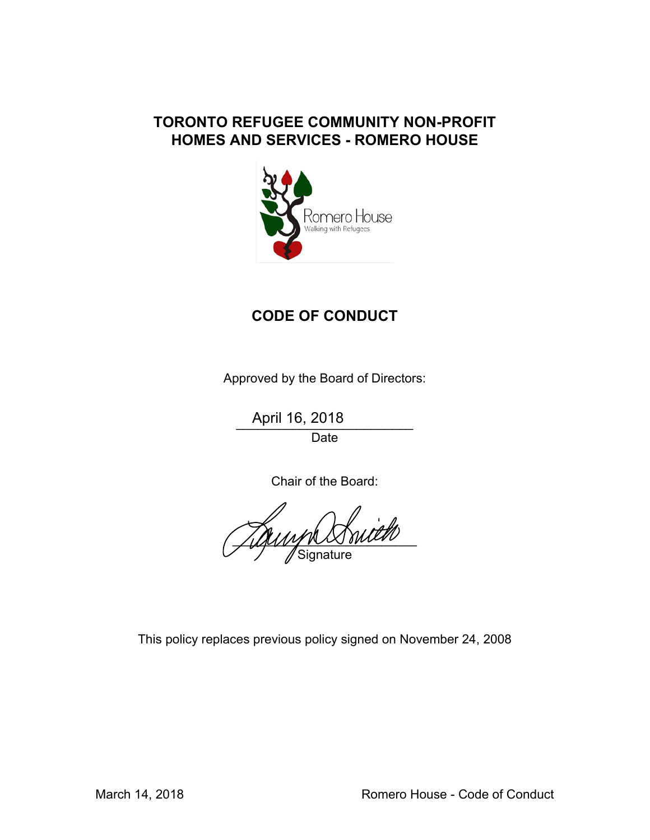# **TORONTO REFUGEE COMMUNITY NON-PROFIT HOMES AND SERVICES - ROMERO HOUSE**



# **CODE OF CONDUCT**

Approved by the Board of Directors:

\_\_\_\_\_\_\_\_\_\_\_\_\_\_\_\_\_\_\_\_\_\_\_\_\_ April 16, 2018

Date

Chair of the Board:

 $\frac{1}{2}$ **Signature** 

This policy replaces previous policy signed on November 24, 2008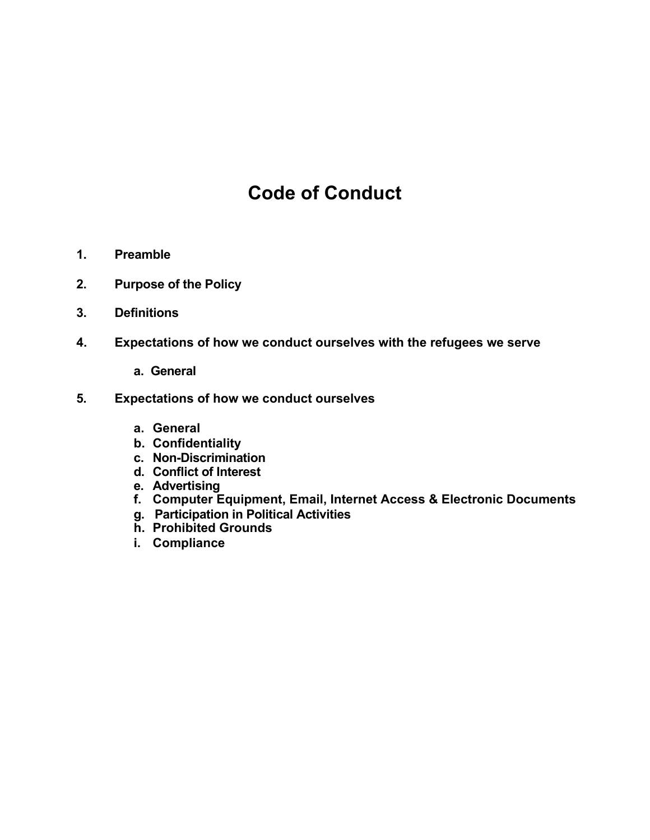# **Code of Conduct**

- **1. Preamble**
- **2. Purpose of the Policy**
- **3. Definitions**
- **4. Expectations of how we conduct ourselves with the refugees we serve** 
	- **a. General**
- **5. Expectations of how we conduct ourselves** 
	- **a. General**
	- **b. Confidentiality**
	- **c. Non-Discrimination**
	- **d. Conflict of Interest**
	- **e. Advertising**
	- **f. Computer Equipment, Email, Internet Access & Electronic Documents**
	- **g. Participation in Political Activities**
	- **h. Prohibited Grounds**
	- **i. Compliance**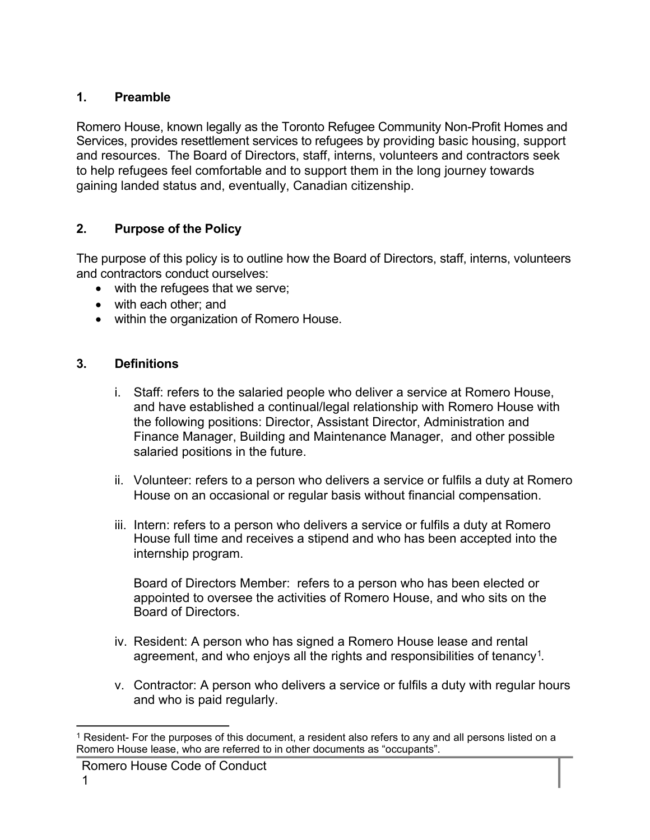#### **1. Preamble**

Romero House, known legally as the Toronto Refugee Community Non-Profit Homes and Services, provides resettlement services to refugees by providing basic housing, support and resources. The Board of Directors, staff, interns, volunteers and contractors seek to help refugees feel comfortable and to support them in the long journey towards gaining landed status and, eventually, Canadian citizenship.

# **2. Purpose of the Policy**

The purpose of this policy is to outline how the Board of Directors, staff, interns, volunteers and contractors conduct ourselves:

- with the refugees that we serve;
- with each other; and
- within the organization of Romero House.

# **3. Definitions**

- i. Staff: refers to the salaried people who deliver a service at Romero House, and have established a continual/legal relationship with Romero House with the following positions: Director, Assistant Director, Administration and Finance Manager, Building and Maintenance Manager, and other possible salaried positions in the future.
- ii. Volunteer: refers to a person who delivers a service or fulfils a duty at Romero House on an occasional or regular basis without financial compensation.
- iii. Intern: refers to a person who delivers a service or fulfils a duty at Romero House full time and receives a stipend and who has been accepted into the internship program.

Board of Directors Member: refers to a person who has been elected or appointed to oversee the activities of Romero House, and who sits on the Board of Directors.

- iv. Resident: A person who has signed a Romero House lease and rental agreement, and who enjoys all the rights and responsibilities of tenancy<sup>1</sup>.
- v. Contractor: A person who delivers a service or fulfils a duty with regular hours and who is paid regularly.

j <sup>1</sup> Resident- For the purposes of this document, a resident also refers to any and all persons listed on a Romero House lease, who are referred to in other documents as "occupants".

Romero House Code of Conduct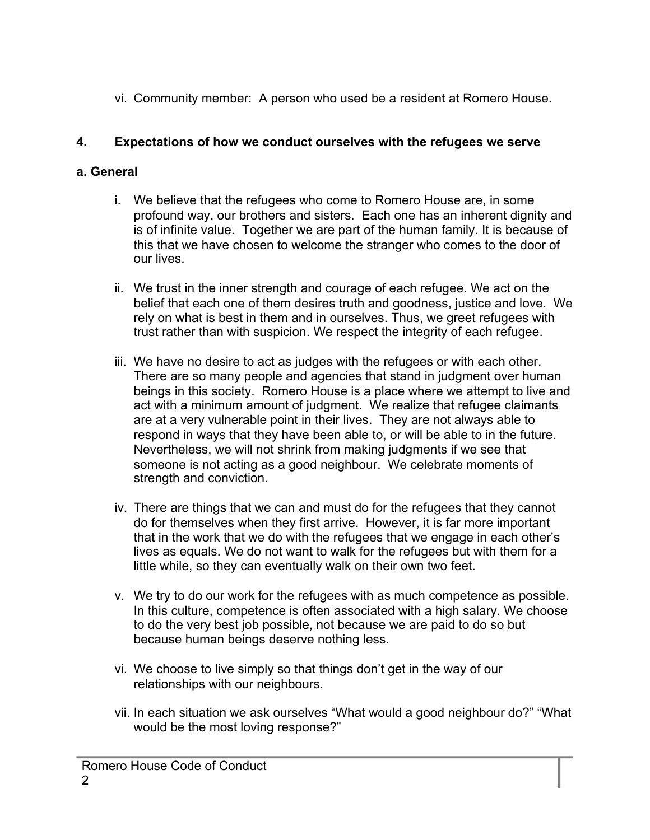vi. Community member: A person who used be a resident at Romero House.

# **4. Expectations of how we conduct ourselves with the refugees we serve**

# **a. General**

- i. We believe that the refugees who come to Romero House are, in some profound way, our brothers and sisters. Each one has an inherent dignity and is of infinite value. Together we are part of the human family. It is because of this that we have chosen to welcome the stranger who comes to the door of our lives.
- ii. We trust in the inner strength and courage of each refugee. We act on the belief that each one of them desires truth and goodness, justice and love. We rely on what is best in them and in ourselves. Thus, we greet refugees with trust rather than with suspicion. We respect the integrity of each refugee.
- iii. We have no desire to act as judges with the refugees or with each other. There are so many people and agencies that stand in judgment over human beings in this society. Romero House is a place where we attempt to live and act with a minimum amount of judgment. We realize that refugee claimants are at a very vulnerable point in their lives. They are not always able to respond in ways that they have been able to, or will be able to in the future. Nevertheless, we will not shrink from making judgments if we see that someone is not acting as a good neighbour. We celebrate moments of strength and conviction.
- iv. There are things that we can and must do for the refugees that they cannot do for themselves when they first arrive. However, it is far more important that in the work that we do with the refugees that we engage in each other's lives as equals. We do not want to walk for the refugees but with them for a little while, so they can eventually walk on their own two feet.
- v. We try to do our work for the refugees with as much competence as possible. In this culture, competence is often associated with a high salary. We choose to do the very best job possible, not because we are paid to do so but because human beings deserve nothing less.
- vi. We choose to live simply so that things don't get in the way of our relationships with our neighbours.
- vii. In each situation we ask ourselves "What would a good neighbour do?" "What would be the most loving response?"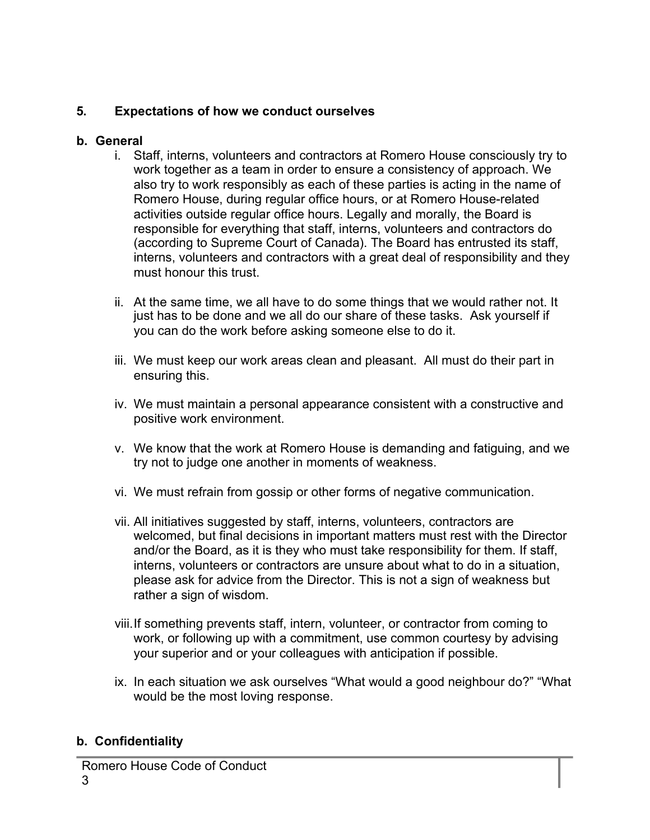# **5. Expectations of how we conduct ourselves**

#### **b. General**

- i. Staff, interns, volunteers and contractors at Romero House consciously try to work together as a team in order to ensure a consistency of approach. We also try to work responsibly as each of these parties is acting in the name of Romero House, during regular office hours, or at Romero House-related activities outside regular office hours. Legally and morally, the Board is responsible for everything that staff, interns, volunteers and contractors do (according to Supreme Court of Canada). The Board has entrusted its staff, interns, volunteers and contractors with a great deal of responsibility and they must honour this trust.
- ii. At the same time, we all have to do some things that we would rather not. It just has to be done and we all do our share of these tasks. Ask yourself if you can do the work before asking someone else to do it.
- iii. We must keep our work areas clean and pleasant. All must do their part in ensuring this.
- iv. We must maintain a personal appearance consistent with a constructive and positive work environment.
- v. We know that the work at Romero House is demanding and fatiguing, and we try not to judge one another in moments of weakness.
- vi. We must refrain from gossip or other forms of negative communication.
- vii. All initiatives suggested by staff, interns, volunteers, contractors are welcomed, but final decisions in important matters must rest with the Director and/or the Board, as it is they who must take responsibility for them. If staff, interns, volunteers or contractors are unsure about what to do in a situation, please ask for advice from the Director. This is not a sign of weakness but rather a sign of wisdom.
- viii.If something prevents staff, intern, volunteer, or contractor from coming to work, or following up with a commitment, use common courtesy by advising your superior and or your colleagues with anticipation if possible.
- ix. In each situation we ask ourselves "What would a good neighbour do?" "What would be the most loving response.

# **b. Confidentiality**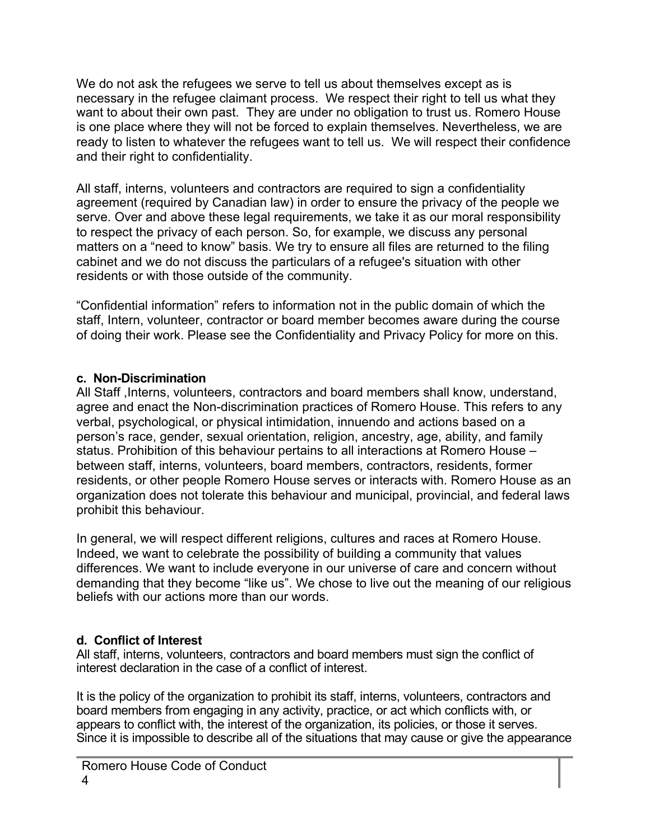We do not ask the refugees we serve to tell us about themselves except as is necessary in the refugee claimant process. We respect their right to tell us what they want to about their own past. They are under no obligation to trust us. Romero House is one place where they will not be forced to explain themselves. Nevertheless, we are ready to listen to whatever the refugees want to tell us. We will respect their confidence and their right to confidentiality.

All staff, interns, volunteers and contractors are required to sign a confidentiality agreement (required by Canadian law) in order to ensure the privacy of the people we serve. Over and above these legal requirements, we take it as our moral responsibility to respect the privacy of each person. So, for example, we discuss any personal matters on a "need to know" basis. We try to ensure all files are returned to the filing cabinet and we do not discuss the particulars of a refugee's situation with other residents or with those outside of the community.

"Confidential information" refers to information not in the public domain of which the staff, Intern, volunteer, contractor or board member becomes aware during the course of doing their work. Please see the Confidentiality and Privacy Policy for more on this.

#### **c. Non-Discrimination**

All Staff ,Interns, volunteers, contractors and board members shall know, understand, agree and enact the Non-discrimination practices of Romero House. This refers to any verbal, psychological, or physical intimidation, innuendo and actions based on a person's race, gender, sexual orientation, religion, ancestry, age, ability, and family status. Prohibition of this behaviour pertains to all interactions at Romero House – between staff, interns, volunteers, board members, contractors, residents, former residents, or other people Romero House serves or interacts with. Romero House as an organization does not tolerate this behaviour and municipal, provincial, and federal laws prohibit this behaviour.

In general, we will respect different religions, cultures and races at Romero House. Indeed, we want to celebrate the possibility of building a community that values differences. We want to include everyone in our universe of care and concern without demanding that they become "like us". We chose to live out the meaning of our religious beliefs with our actions more than our words.

# **d. Conflict of Interest**

All staff, interns, volunteers, contractors and board members must sign the conflict of interest declaration in the case of a conflict of interest.

It is the policy of the organization to prohibit its staff, interns, volunteers, contractors and board members from engaging in any activity, practice, or act which conflicts with, or appears to conflict with, the interest of the organization, its policies, or those it serves. Since it is impossible to describe all of the situations that may cause or give the appearance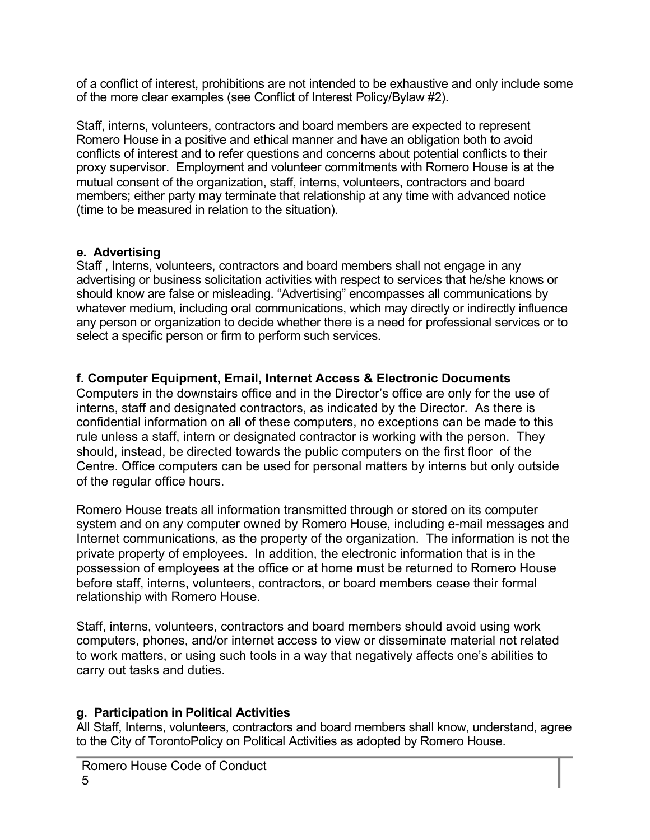of a conflict of interest, prohibitions are not intended to be exhaustive and only include some of the more clear examples (see Conflict of Interest Policy/Bylaw #2).

Staff, interns, volunteers, contractors and board members are expected to represent Romero House in a positive and ethical manner and have an obligation both to avoid conflicts of interest and to refer questions and concerns about potential conflicts to their proxy supervisor. Employment and volunteer commitments with Romero House is at the mutual consent of the organization, staff, interns, volunteers, contractors and board members; either party may terminate that relationship at any time with advanced notice (time to be measured in relation to the situation).

#### **e. Advertising**

Staff , Interns, volunteers, contractors and board members shall not engage in any advertising or business solicitation activities with respect to services that he/she knows or should know are false or misleading. "Advertising" encompasses all communications by whatever medium, including oral communications, which may directly or indirectly influence any person or organization to decide whether there is a need for professional services or to select a specific person or firm to perform such services.

#### **f. Computer Equipment, Email, Internet Access & Electronic Documents**

Computers in the downstairs office and in the Director's office are only for the use of interns, staff and designated contractors, as indicated by the Director. As there is confidential information on all of these computers, no exceptions can be made to this rule unless a staff, intern or designated contractor is working with the person. They should, instead, be directed towards the public computers on the first floor of the Centre. Office computers can be used for personal matters by interns but only outside of the regular office hours.

Romero House treats all information transmitted through or stored on its computer system and on any computer owned by Romero House, including e-mail messages and Internet communications, as the property of the organization. The information is not the private property of employees. In addition, the electronic information that is in the possession of employees at the office or at home must be returned to Romero House before staff, interns, volunteers, contractors, or board members cease their formal relationship with Romero House.

Staff, interns, volunteers, contractors and board members should avoid using work computers, phones, and/or internet access to view or disseminate material not related to work matters, or using such tools in a way that negatively affects one's abilities to carry out tasks and duties.

#### **g. Participation in Political Activities**

All Staff, Interns, volunteers, contractors and board members shall know, understand, agree to the City of TorontoPolicy on Political Activities as adopted by Romero House.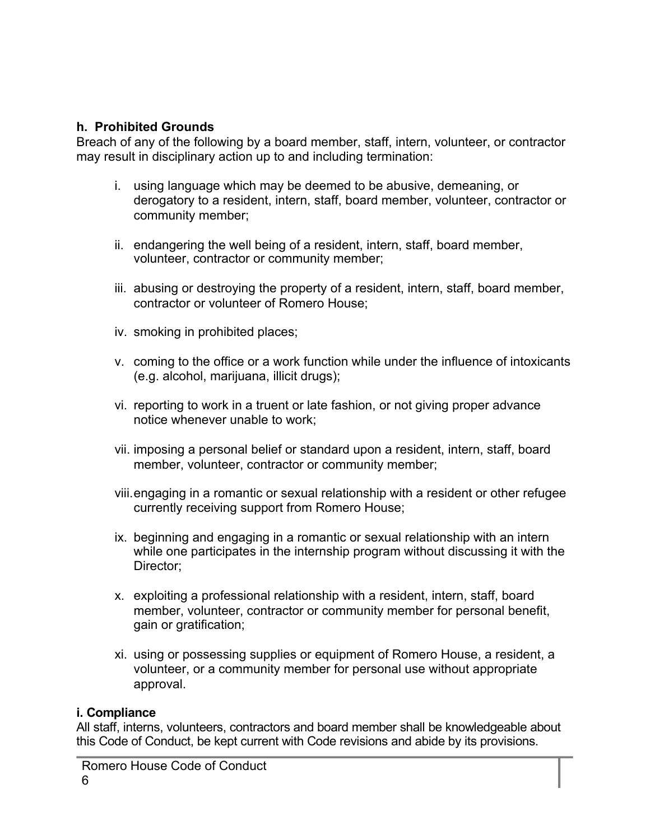#### **h. Prohibited Grounds**

Breach of any of the following by a board member, staff, intern, volunteer, or contractor may result in disciplinary action up to and including termination:

- i. using language which may be deemed to be abusive, demeaning, or derogatory to a resident, intern, staff, board member, volunteer, contractor or community member;
- ii. endangering the well being of a resident, intern, staff, board member, volunteer, contractor or community member;
- iii. abusing or destroying the property of a resident, intern, staff, board member, contractor or volunteer of Romero House;
- iv. smoking in prohibited places;
- v. coming to the office or a work function while under the influence of intoxicants (e.g. alcohol, marijuana, illicit drugs);
- vi. reporting to work in a truent or late fashion, or not giving proper advance notice whenever unable to work;
- vii. imposing a personal belief or standard upon a resident, intern, staff, board member, volunteer, contractor or community member;
- viii.engaging in a romantic or sexual relationship with a resident or other refugee currently receiving support from Romero House;
- ix. beginning and engaging in a romantic or sexual relationship with an intern while one participates in the internship program without discussing it with the Director;
- x. exploiting a professional relationship with a resident, intern, staff, board member, volunteer, contractor or community member for personal benefit, gain or gratification;
- xi. using or possessing supplies or equipment of Romero House, a resident, a volunteer, or a community member for personal use without appropriate approval.

#### **i. Compliance**

All staff, interns, volunteers, contractors and board member shall be knowledgeable about this Code of Conduct, be kept current with Code revisions and abide by its provisions.